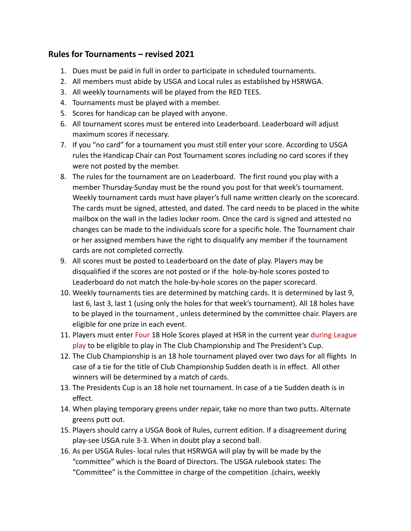# **Rules for Tournaments – revised 2021**

- 1. Dues must be paid in full in order to participate in scheduled tournaments.
- 2. All members must abide by USGA and Local rules as established by HSRWGA.
- 3. All weekly tournaments will be played from the RED TEES.
- 4. Tournaments must be played with a member.
- 5. Scores for handicap can be played with anyone.
- 6. All tournament scores must be entered into Leaderboard. Leaderboard will adjust maximum scores if necessary.
- 7. If you "no card" for a tournament you must still enter your score. According to USGA rules the Handicap Chair can Post Tournament scores including no card scores if they were not posted by the member.
- 8. The rules for the tournament are on Leaderboard. The first round you play with a member Thursday-Sunday must be the round you post for that week's tournament. Weekly tournament cards must have player's full name written clearly on the scorecard. The cards must be signed, attested, and dated. The card needs to be placed in the white mailbox on the wall in the ladies locker room. Once the card is signed and attested no changes can be made to the individuals score for a specific hole. The Tournament chair or her assigned members have the right to disqualify any member if the tournament cards are not completed correctly.
- 9. All scores must be posted to Leaderboard on the date of play. Players may be disqualified if the scores are not posted or if the hole-by-hole scores posted to Leaderboard do not match the hole-by-hole scores on the paper scorecard.
- 10. Weekly tournaments ties are determined by matching cards. It is determined by last 9, last 6, last 3, last 1 (using only the holes for that week's tournament). All 18 holes have to be played in the tournament , unless determined by the committee chair. Players are eligible for one prize in each event.
- 11. Players must enter Four 18 Hole Scores played at HSR in the current year during League play to be eligible to play in The Club Championship and The President's Cup.
- 12. The Club Championship is an 18 hole tournament played over two days for all flights In case of a tie for the title of Club Championship Sudden death is in effect. All other winners will be determined by a match of cards.
- 13. The Presidents Cup is an 18 hole net tournament. In case of a tie Sudden death is in effect.
- 14. When playing temporary greens under repair, take no more than two putts. Alternate greens putt out.
- 15. Players should carry a USGA Book of Rules, current edition. If a disagreement during play-see USGA rule 3-3. When in doubt play a second ball.
- 16. As per USGA Rules- local rules that HSRWGA will play by will be made by the "committee" which is the Board of Directors. The USGA rulebook states: The "Committee" is the Committee in charge of the competition .(chairs, weekly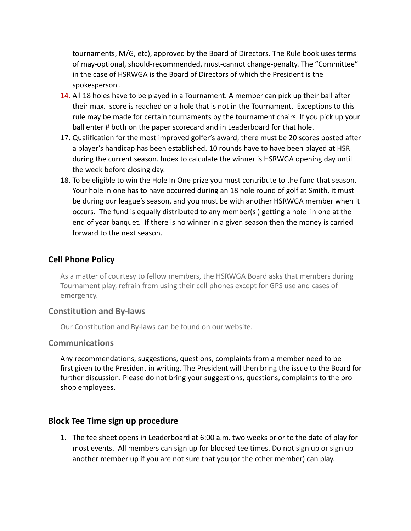tournaments, M/G, etc), approved by the Board of Directors. The Rule book uses terms of may-optional, should-recommended, must-cannot change-penalty. The "Committee" in the case of HSRWGA is the Board of Directors of which the President is the spokesperson .

- 14. All 18 holes have to be played in a Tournament. A member can pick up their ball after their max. score is reached on a hole that is not in the Tournament. Exceptions to this rule may be made for certain tournaments by the tournament chairs. If you pick up your ball enter # both on the paper scorecard and in Leaderboard for that hole.
- 17. Qualification for the most improved golfer's award, there must be 20 scores posted after a player's handicap has been established. 10 rounds have to have been played at HSR during the current season. Index to calculate the winner is HSRWGA opening day until the week before closing day.
- 18. To be eligible to win the Hole In One prize you must contribute to the fund that season. Your hole in one has to have occurred during an 18 hole round of golf at Smith, it must be during our league's season, and you must be with another HSRWGA member when it occurs. The fund is equally distributed to any member(s ) getting a hole in one at the end of year banquet. If there is no winner in a given season then the money is carried forward to the next season.

## **Cell Phone Policy**

As a matter of courtesy to fellow members, the HSRWGA Board asks that members during Tournament play, refrain from using their cell phones except for GPS use and cases of emergency.

## **Constitution and By-laws**

Our Constitution and By-laws can be found on our website.

#### **Communications**

Any recommendations, suggestions, questions, complaints from a member need to be first given to the President in writing. The President will then bring the issue to the Board for further discussion. Please do not bring your suggestions, questions, complaints to the pro shop employees.

## **Block Tee Time sign up procedure**

1. The tee sheet opens in Leaderboard at 6:00 a.m. two weeks prior to the date of play for most events. All members can sign up for blocked tee times. Do not sign up or sign up another member up if you are not sure that you (or the other member) can play.